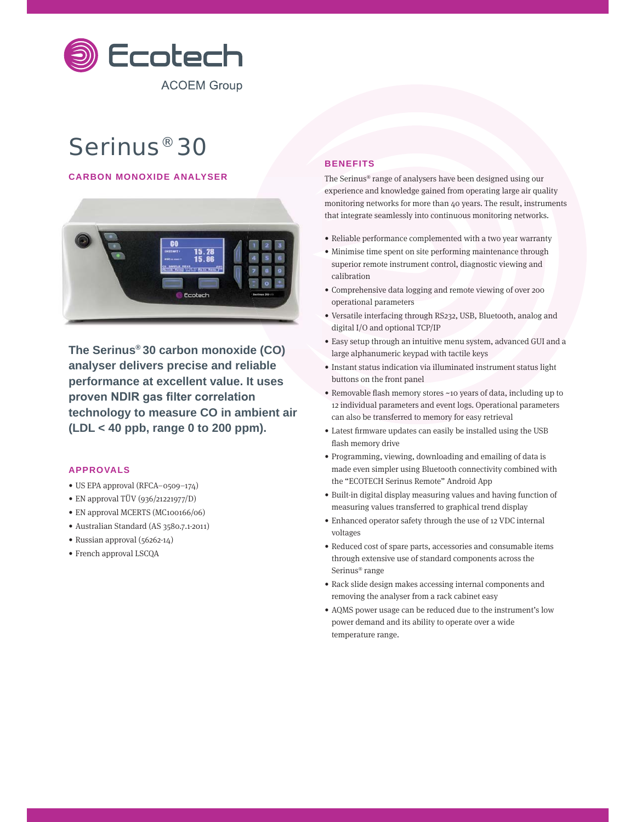

# Serinus® 30

# **CARBON MONOXIDE ANALYSER**



**The Serinus® 30 carbon monoxide (CO) analyser delivers precise and reliable performance at excellent value. It uses**  proven NDIR gas filter correlation **technology to measure CO in ambient air (LDL < 40 ppb, range 0 to 200 ppm).**

#### **APPROVALS**

- US EPA approval (RFCA–0509–174)
- EN approval TÜV (936/21221977/D)
- EN approval MCERTS (MC100166/06)
- Australian Standard (AS 3580.7.1-2011)
- Russian approval (56262-14)
- French approval LSCQA

## **BENEFITS**

The Serinus® range of analysers have been designed using our experience and knowledge gained from operating large air quality monitoring networks for more than 40 years. The result, instruments that integrate seamlessly into continuous monitoring networks.

- Reliable performance complemented with a two year warranty
- Minimise time spent on site performing maintenance through superior remote instrument control, diagnostic viewing and calibration
- Comprehensive data logging and remote viewing of over 200 operational parameters
- Versatile interfacing through RS232, USB, Bluetooth, analog and digital I/O and optional TCP/IP
- Easy setup through an intuitive menu system, advanced GUI and a large alphanumeric keypad with tactile keys
- Instant status indication via illuminated instrument status light buttons on the front panel
- Removable flash memory stores ~10 years of data, including up to 12 individual parameters and event logs. Operational parameters can also be transferred to memory for easy retrieval
- Latest firmware updates can easily be installed using the USB flash memory drive
- Programming, viewing, downloading and emailing of data is made even simpler using Bluetooth connectivity combined with the "ECOTECH Serinus Remote" Android App
- Built-in digital display measuring values and having function of measuring values transferred to graphical trend display
- Enhanced operator safety through the use of 12 VDC internal voltages
- Reduced cost of spare parts, accessories and consumable items through extensive use of standard components across the Serinus® range
- Rack slide design makes accessing internal components and removing the analyser from a rack cabinet easy
- AQMS power usage can be reduced due to the instrument's low power demand and its ability to operate over a wide temperature range.